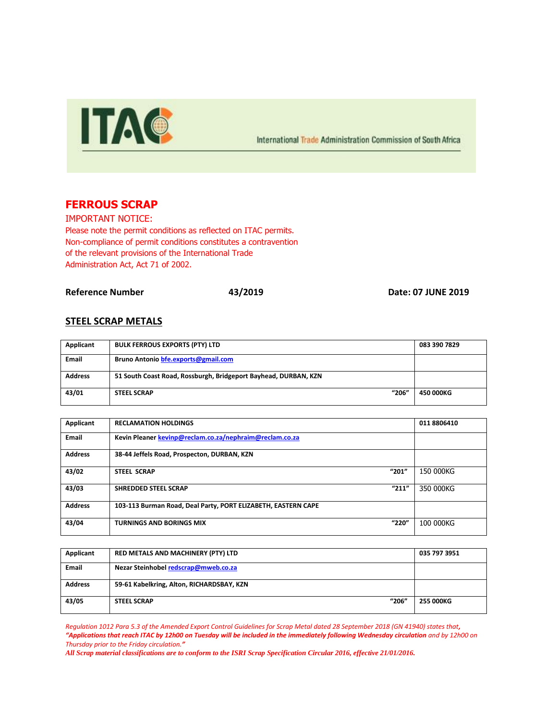

International Trade Administration Commission of South Africa

## **FERROUS SCRAP**

IMPORTANT NOTICE: Please note the permit conditions as reflected on ITAC permits. Non-compliance of permit conditions constitutes a contravention of the relevant provisions of the International Trade Administration Act, Act 71 of 2002.

**Reference Number 43/2019 Date: 07 JUNE 2019**

## **STEEL SCRAP METALS**

| Applicant      | <b>BULK FERROUS EXPORTS (PTY) LTD</b>                           | 083 390 7829 |
|----------------|-----------------------------------------------------------------|--------------|
| <b>Email</b>   | Bruno Antonio bfe.exports@gmail.com                             |              |
| <b>Address</b> | 51 South Coast Road, Rossburgh, Bridgeport Bayhead, DURBAN, KZN |              |
| 43/01          | "206"<br><b>STEEL SCRAP</b>                                     | 450 000KG    |

| Applicant      | <b>RECLAMATION HOLDINGS</b>                                   | 011 8806410 |
|----------------|---------------------------------------------------------------|-------------|
| <b>Email</b>   | Kevin Pleaner kevinp@reclam.co.za/nephraim@reclam.co.za       |             |
| <b>Address</b> | 38-44 Jeffels Road, Prospecton, DURBAN, KZN                   |             |
| 43/02          | "201"<br><b>STEEL SCRAP</b>                                   | 150 000KG   |
| 43/03          | "211"<br><b>SHREDDED STEEL SCRAP</b>                          | 350 000KG   |
| <b>Address</b> | 103-113 Burman Road, Deal Party, PORT ELIZABETH, EASTERN CAPE |             |
| 43/04          | "220"<br><b>TURNINGS AND BORINGS MIX</b>                      | 100 000KG   |

| Applicant      | RED METALS AND MACHINERY (PTY) LTD        | 035 797 3951 |
|----------------|-------------------------------------------|--------------|
| <b>Email</b>   | Nezar Steinhobel redscrap@mweb.co.za      |              |
| <b>Address</b> | 59-61 Kabelkring, Alton, RICHARDSBAY, KZN |              |
| 43/05          | "206"<br><b>STEEL SCRAP</b>               | 255 000KG    |

*Regulation 1012 Para 5.3 of the Amended Export Control Guidelines for Scrap Metal dated 28 September 2018 (GN 41940) states that, "Applications that reach ITAC by 12h00 on Tuesday will be included in the immediately following Wednesday circulation and by 12h00 on Thursday prior to the Friday circulation."*

*All Scrap material classifications are to conform to the ISRI Scrap Specification Circular 2016, effective 21/01/2016.*